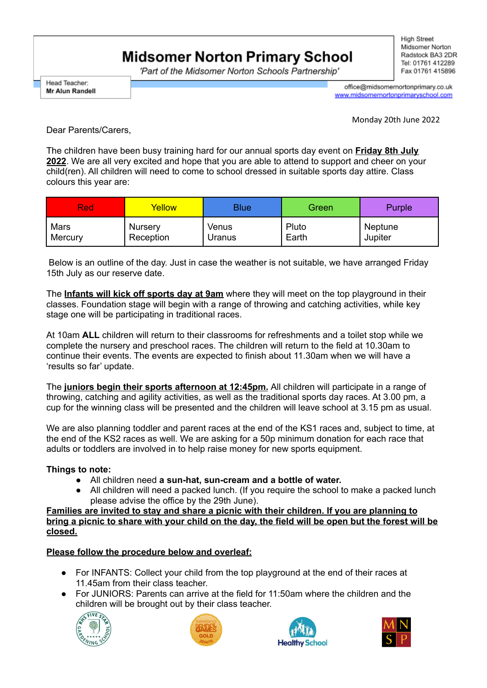## **Midsomer Norton Primary School**

'Part of the Midsomer Norton Schools Partnership'

**High Street** Midsomer Norton Radstock BA3 2DR Tel: 01761 412289 Fax 01761 415896

Head Teacher: **Mr Alun Randell** 

office@midsomernortonprimary.co.uk www.midsomernortonprimaryschool.com

Monday 20th June 2022

Dear Parents/Carers,

The children have been busy training hard for our annual sports day event on **Friday 8th July 2022**. We are all very excited and hope that you are able to attend to support and cheer on your child(ren). All children will need to come to school dressed in suitable sports day attire. Class colours this year are:

| <b>Red</b> | Yellow    | <b>Blue</b> | Green | Purple  |
|------------|-----------|-------------|-------|---------|
| Mars       | Nursery   | Venus       | Pluto | Neptune |
| Mercury    | Reception | Uranus      | Earth | Jupiter |

Below is an outline of the day. Just in case the weather is not suitable, we have arranged Friday 15th July as our reserve date.

The **Infants will kick off sports day at 9am** where they will meet on the top playground in their classes. Foundation stage will begin with a range of throwing and catching activities, while key stage one will be participating in traditional races.

At 10am **ALL** children will return to their classrooms for refreshments and a toilet stop while we complete the nursery and preschool races. The children will return to the field at 10.30am to continue their events. The events are expected to finish about 11.30am when we will have a 'results so far' update.

The **juniors begin their sports afternoon at 12:45pm.** All children will participate in a range of throwing, catching and agility activities, as well as the traditional sports day races. At 3.00 pm, a cup for the winning class will be presented and the children will leave school at 3.15 pm as usual.

We are also planning toddler and parent races at the end of the KS1 races and, subject to time, at the end of the KS2 races as well. We are asking for a 50p minimum donation for each race that adults or toddlers are involved in to help raise money for new sports equipment.

## **Things to note:**

- All children need **a sun-hat, sun-cream and a bottle of water.**
- All children will need a packed lunch. (If you require the school to make a packed lunch please advise the office by the 29th June).

**Families are invited to stay and share a picnic with their children. If you are planning to** bring a picnic to share with your child on the day, the field will be open but the forest will be **closed.**

## **Please follow the procedure below and overleaf:**

- For INFANTS: Collect your child from the top playground at the end of their races at 11.45am from their class teacher.
- For JUNIORS: Parents can arrive at the field for 11:50am where the children and the children will be brought out by their class teacher.